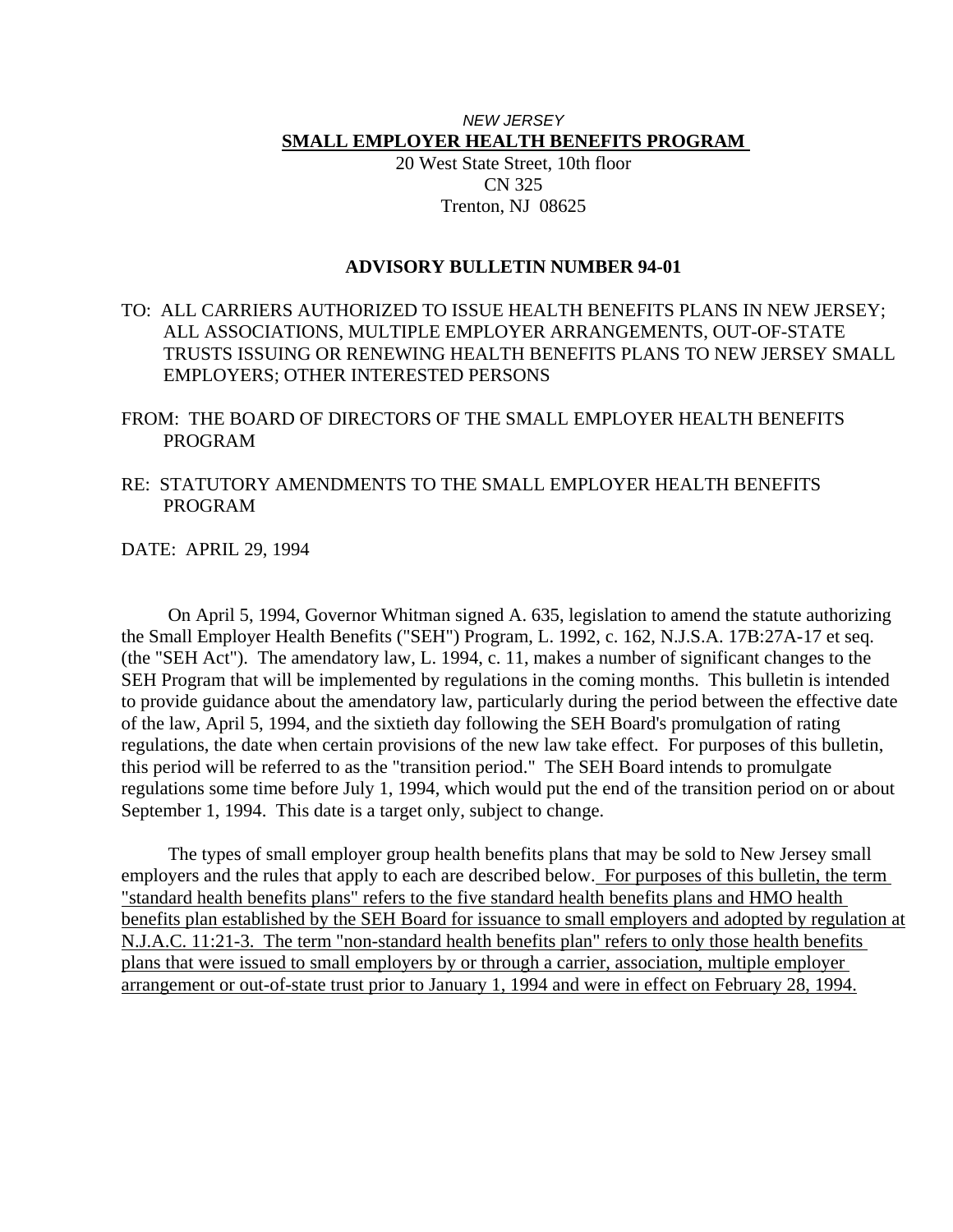# *NEW JERSEY*  **SMALL EMPLOYER HEALTH BENEFITS PROGRAM**

20 West State Street, 10th floor CN 325 Trenton, NJ 08625

## **ADVISORY BULLETIN NUMBER 94-01**

TO: ALL CARRIERS AUTHORIZED TO ISSUE HEALTH BENEFITS PLANS IN NEW JERSEY; ALL ASSOCIATIONS, MULTIPLE EMPLOYER ARRANGEMENTS, OUT-OF-STATE TRUSTS ISSUING OR RENEWING HEALTH BENEFITS PLANS TO NEW JERSEY SMALL EMPLOYERS; OTHER INTERESTED PERSONS

FROM: THE BOARD OF DIRECTORS OF THE SMALL EMPLOYER HEALTH BENEFITS PROGRAM

RE: STATUTORY AMENDMENTS TO THE SMALL EMPLOYER HEALTH BENEFITS PROGRAM

DATE: APRIL 29, 1994

 On April 5, 1994, Governor Whitman signed A. 635, legislation to amend the statute authorizing the Small Employer Health Benefits ("SEH") Program, L. 1992, c. 162, N.J.S.A. 17B:27A-17 et seq. (the "SEH Act"). The amendatory law, L. 1994, c. 11, makes a number of significant changes to the SEH Program that will be implemented by regulations in the coming months. This bulletin is intended to provide guidance about the amendatory law, particularly during the period between the effective date of the law, April 5, 1994, and the sixtieth day following the SEH Board's promulgation of rating regulations, the date when certain provisions of the new law take effect. For purposes of this bulletin, this period will be referred to as the "transition period." The SEH Board intends to promulgate regulations some time before July 1, 1994, which would put the end of the transition period on or about September 1, 1994. This date is a target only, subject to change.

 The types of small employer group health benefits plans that may be sold to New Jersey small employers and the rules that apply to each are described below. For purposes of this bulletin, the term "standard health benefits plans" refers to the five standard health benefits plans and HMO health benefits plan established by the SEH Board for issuance to small employers and adopted by regulation at N.J.A.C. 11:21-3. The term "non-standard health benefits plan" refers to only those health benefits plans that were issued to small employers by or through a carrier, association, multiple employer arrangement or out-of-state trust prior to January 1, 1994 and were in effect on February 28, 1994.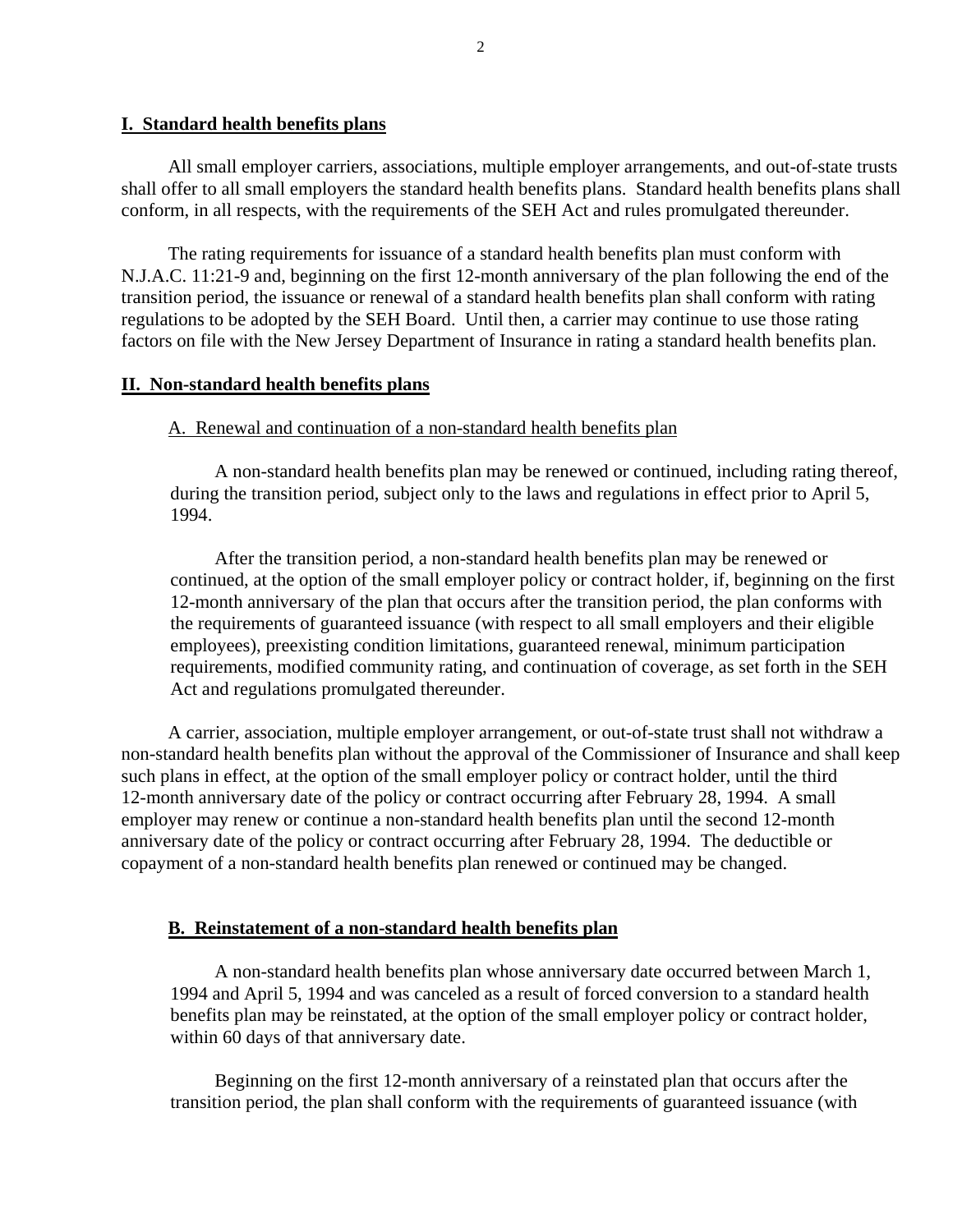#### **I. Standard health benefits plans**

 All small employer carriers, associations, multiple employer arrangements, and out-of-state trusts shall offer to all small employers the standard health benefits plans. Standard health benefits plans shall conform, in all respects, with the requirements of the SEH Act and rules promulgated thereunder.

 The rating requirements for issuance of a standard health benefits plan must conform with N.J.A.C. 11:21-9 and, beginning on the first 12-month anniversary of the plan following the end of the transition period, the issuance or renewal of a standard health benefits plan shall conform with rating regulations to be adopted by the SEH Board. Until then, a carrier may continue to use those rating factors on file with the New Jersey Department of Insurance in rating a standard health benefits plan.

#### **II. Non-standard health benefits plans**

### A. Renewal and continuation of a non-standard health benefits plan

 A non-standard health benefits plan may be renewed or continued, including rating thereof, during the transition period, subject only to the laws and regulations in effect prior to April 5, 1994.

 After the transition period, a non-standard health benefits plan may be renewed or continued, at the option of the small employer policy or contract holder, if, beginning on the first 12-month anniversary of the plan that occurs after the transition period, the plan conforms with the requirements of guaranteed issuance (with respect to all small employers and their eligible employees), preexisting condition limitations, guaranteed renewal, minimum participation requirements, modified community rating, and continuation of coverage, as set forth in the SEH Act and regulations promulgated thereunder.

 A carrier, association, multiple employer arrangement, or out-of-state trust shall not withdraw a non-standard health benefits plan without the approval of the Commissioner of Insurance and shall keep such plans in effect, at the option of the small employer policy or contract holder, until the third 12-month anniversary date of the policy or contract occurring after February 28, 1994. A small employer may renew or continue a non-standard health benefits plan until the second 12-month anniversary date of the policy or contract occurring after February 28, 1994. The deductible or copayment of a non-standard health benefits plan renewed or continued may be changed.

#### **B. Reinstatement of a non-standard health benefits plan**

 A non-standard health benefits plan whose anniversary date occurred between March 1, 1994 and April 5, 1994 and was canceled as a result of forced conversion to a standard health benefits plan may be reinstated, at the option of the small employer policy or contract holder, within 60 days of that anniversary date.

 Beginning on the first 12-month anniversary of a reinstated plan that occurs after the transition period, the plan shall conform with the requirements of guaranteed issuance (with